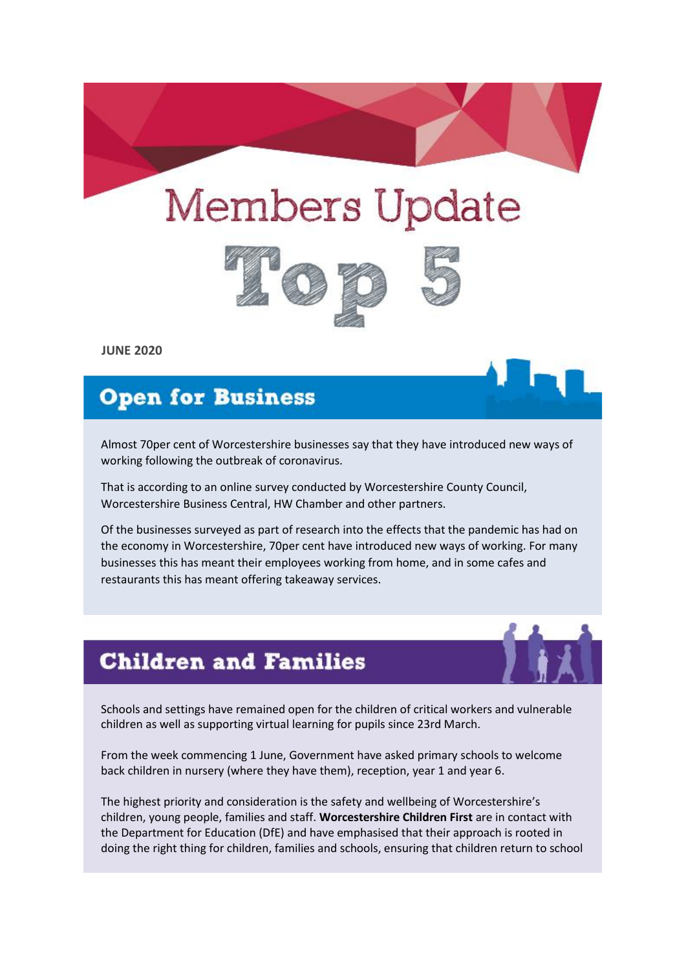# **Members Update**



**JUNE 2020**

## **Open for Business**

Almost 70per cent of Worcestershire businesses say that they have introduced new ways of working following the outbreak of coronavirus.

That is according to an online survey conducted by Worcestershire County Council, Worcestershire Business Central, HW Chamber and other partners.

Of the businesses surveyed as part of research into the effects that the pandemic has had on the economy in Worcestershire, 70per cent have introduced new ways of working. For many businesses this has meant their employees working from home, and in some cafes and restaurants this has meant offering takeaway services.

#### **Children and Families**

Schools and settings have remained open for the children of critical workers and vulnerable children as well as supporting virtual learning for pupils since 23rd March.

From the week commencing 1 June, Government have asked primary schools to welcome back children in nursery (where they have them), reception, year 1 and year 6.

The highest priority and consideration is the safety and wellbeing of Worcestershire's children, young people, families and staff. **Worcestershire Children First** are in contact with the Department for Education (DfE) and have emphasised that their approach is rooted in doing the right thing for children, families and schools, ensuring that children return to school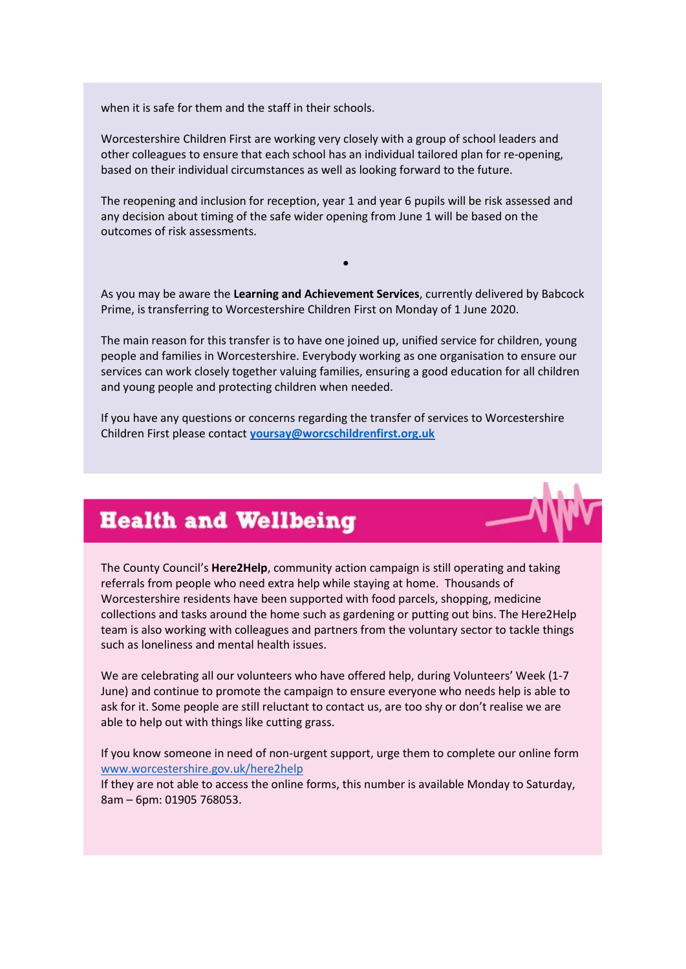when it is safe for them and the staff in their schools.

Worcestershire Children First are working very closely with a group of school leaders and other colleagues to ensure that each school has an individual tailored plan for re-opening, based on their individual circumstances as well as looking forward to the future.

The reopening and inclusion for reception, year 1 and year 6 pupils will be risk assessed and any decision about timing of the safe wider opening from June 1 will be based on the outcomes of risk assessments.

As you may be aware the **Learning and Achievement Services**, currently delivered by Babcock Prime, is transferring to Worcestershire Children First on Monday of 1 June 2020.

•

The main reason for this transfer is to have one joined up, unified service for children, young people and families in Worcestershire. Everybody working as one organisation to ensure our services can work closely together valuing families, ensuring a good education for all children and young people and protecting children when needed.

If you have any questions or concerns regarding the transfer of services to Worcestershire Children First please contact **[yoursay@worcschildrenfirst.org.uk](mailto:yoursay@worcschildrenfirst.org.uk)**



#### **Health and Wellbeing**

The County Council's **Here2Help**, community action campaign is still operating and taking referrals from people who need extra help while staying at home. Thousands of Worcestershire residents have been supported with food parcels, shopping, medicine collections and tasks around the home such as gardening or putting out bins. The Here2Help team is also working with colleagues and partners from the voluntary sector to tackle things such as loneliness and mental health issues.

We are celebrating all our volunteers who have offered help, during Volunteers' Week (1-7 June) and continue to promote the campaign to ensure everyone who needs help is able to ask for it. Some people are still reluctant to contact us, are too shy or don't realise we are able to help out with things like cutting grass.

If you know someone in need of non-urgent support, urge them to complete our online form [www.worcestershire.gov.uk/here2help](http://www.worcestershire.gov.uk/here2help)

If they are not able to access the online forms, this number is available Monday to Saturday, 8am – 6pm: 01905 768053.